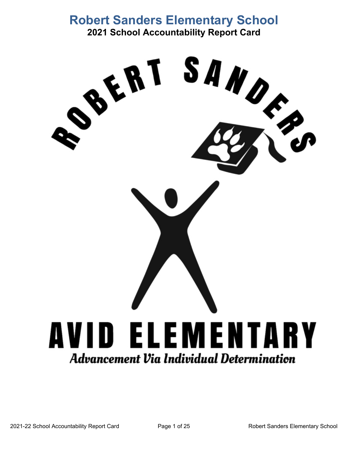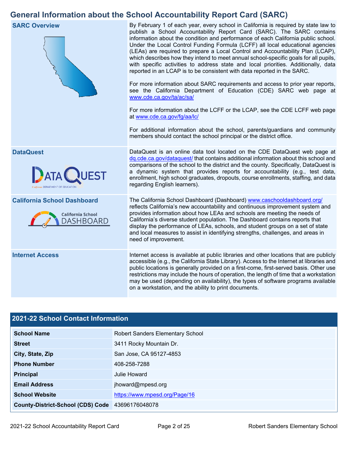## **General Information about the School Accountability Report Card (SARC)**



## **2021-22 School Contact Information**

| <b>School Name</b>                               | <b>Robert Sanders Elementary School</b> |  |  |  |  |
|--------------------------------------------------|-----------------------------------------|--|--|--|--|
| <b>Street</b>                                    | 3411 Rocky Mountain Dr.                 |  |  |  |  |
| City, State, Zip                                 | San Jose, CA 95127-4853                 |  |  |  |  |
| <b>Phone Number</b>                              | 408-258-7288                            |  |  |  |  |
| <b>Principal</b>                                 | Julie Howard                            |  |  |  |  |
| <b>Email Address</b>                             | jhoward@mpesd.org                       |  |  |  |  |
| <b>School Website</b>                            | https://www.mpesd.org/Page/16           |  |  |  |  |
| County-District-School (CDS) Code 43696176048078 |                                         |  |  |  |  |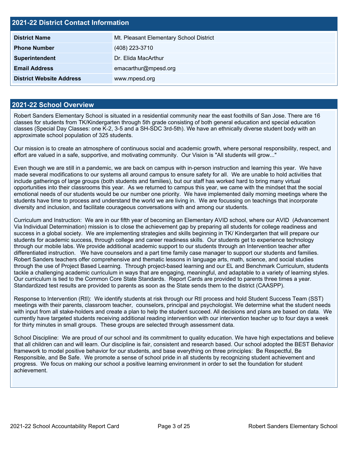| <b>2021-22 District Contact Information</b> |                                         |  |  |  |  |
|---------------------------------------------|-----------------------------------------|--|--|--|--|
| <b>District Name</b>                        | Mt. Pleasant Elementary School District |  |  |  |  |
| <b>Phone Number</b>                         | (408) 223-3710                          |  |  |  |  |
| Superintendent                              | Dr. Elida MacArthur                     |  |  |  |  |
| <b>Email Address</b>                        | emacarthur@mpesd.org                    |  |  |  |  |
| <b>District Website Address</b>             | www.mpesd.org                           |  |  |  |  |

### **2021-22 School Overview**

Robert Sanders Elementary School is situated in a residential community near the east foothills of San Jose. There are 16 classes for students from TK/Kindergarten through 5th grade consisting of both general education and special education classes (Special Day Classes: one K-2, 3-5 and a SH-SDC 3rd-5th). We have an ethnically diverse student body with an approximate school population of 325 students.

Our mission is to create an atmosphere of continuous social and academic growth, where personal responsibility, respect, and effort are valued in a safe, supportive, and motivating community. Our Vision is "All students will grow..."

Even though we are still in a pandemic, we are back on campus with in-person instruction and learning this year. We have made several modifications to our systems all around campus to ensure safety for all. We are unable to hold activities that include gatherings of large groups (both students and families), but our staff has worked hard to bring many virtual opportunities into their classrooms this year. As we returned to campus this year, we came with the mindset that the social emotional needs of our students would be our number one priority. We have implemented daily morning meetings where the students have time to process and understand the world we are living in. We are focussing on teachings that incorporate diversity and inclusion, and facilitate courageous conversations with and among our students.

Curriculum and Instruction: We are in our fifth year of becoming an Elementary AVID school, where our AVID (Advancement Via Individual Determination) mission is to close the achievement gap by preparing all students for college readiness and success in a global society. We are implementing strategies and skills beginning in TK/ Kindergarten that will prepare our students for academic success, through college and career readiness skills. Our students get to experience technology through our mobile labs. We provide additional academic support to our students through an Intervention teacher after differentiated instruction. We have counselors and a part time family case manager to support our students and families. Robert Sanders teachers offer comprehensive and thematic lessons in language arts, math, science, and social studies through the use of Project Based Learning. Through project-based learning and our EL and Benchmark Curriculum, students tackle a challenging academic curriculum in ways that are engaging, meaningful, and adaptable to a variety of learning styles. Our curriculum is tied to the Common Core State Standards. Report Cards are provided to parents three times a year. Standardized test results are provided to parents as soon as the State sends them to the district (CAASPP).

Response to Intervention (RtI): We identify students at risk through our RtI process and hold Student Success Team (SST) meetings with their parents, classroom teacher, counselors, principal and psychologist. We determine what the student needs with input from all stake-holders and create a plan to help the student succeed. All decisions and plans are based on data. We currently have targeted students receiving additional reading intervention with our intervention teacher up to four days a week for thirty minutes in small groups. These groups are selected through assessment data.

School Discipline: We are proud of our school and its commitment to quality education. We have high expectations and believe that all children can and will learn. Our discipline is fair, consistent and research based. Our school adopted the BEST Behavior framework to model positive behavior for our students, and base everything on three principles: Be Respectful, Be Responsible, and Be Safe. We promote a sense of school pride in all students by recognizing student achievement and progress. We focus on making our school a positive learning environment in order to set the foundation for student achievement.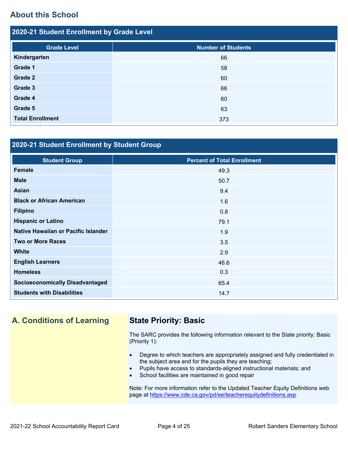## **About this School**

| 2020-21 Student Enrollment by Grade Level |                           |  |  |  |  |  |
|-------------------------------------------|---------------------------|--|--|--|--|--|
|                                           |                           |  |  |  |  |  |
| <b>Grade Level</b>                        | <b>Number of Students</b> |  |  |  |  |  |
| Kindergarten                              | 66                        |  |  |  |  |  |
| Grade 1                                   | 58                        |  |  |  |  |  |
| <b>Grade 2</b>                            | 60                        |  |  |  |  |  |
| Grade 3                                   | 66                        |  |  |  |  |  |
| Grade 4                                   | 60                        |  |  |  |  |  |
| Grade 5                                   | 63                        |  |  |  |  |  |
| <b>Total Enrollment</b>                   | 373                       |  |  |  |  |  |
|                                           |                           |  |  |  |  |  |

## **2020-21 Student Enrollment by Student Group**

| <b>Student Group</b>                   | <b>Percent of Total Enrollment</b> |
|----------------------------------------|------------------------------------|
| <b>Female</b>                          | 49.3                               |
| <b>Male</b>                            | 50.7                               |
| <b>Asian</b>                           | 9.4                                |
| <b>Black or African American</b>       | 1.6                                |
| <b>Filipino</b>                        | 0.8                                |
| <b>Hispanic or Latino</b>              | 79.1                               |
| Native Hawaiian or Pacific Islander    | 1.9                                |
| <b>Two or More Races</b>               | 3.5                                |
| <b>White</b>                           | 2.9                                |
| <b>English Learners</b>                | 46.6                               |
| <b>Homeless</b>                        | 0.3                                |
| <b>Socioeconomically Disadvantaged</b> | 65.4                               |
| <b>Students with Disabilities</b>      | 14.7                               |

## **A. Conditions of Learning State Priority: Basic**

The SARC provides the following information relevant to the State priority: Basic (Priority 1):

- Degree to which teachers are appropriately assigned and fully credentialed in the subject area and for the pupils they are teaching;
- Pupils have access to standards-aligned instructional materials; and
- School facilities are maintained in good repair

Note: For more information refer to the Updated Teacher Equity Definitions web page at <https://www.cde.ca.gov/pd/ee/teacherequitydefinitions.asp>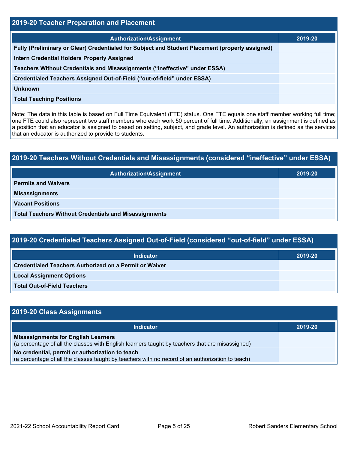| 2019-20 Teacher Preparation and Placement                                                       |         |  |  |  |  |
|-------------------------------------------------------------------------------------------------|---------|--|--|--|--|
| <b>Authorization/Assignment</b>                                                                 | 2019-20 |  |  |  |  |
| Fully (Preliminary or Clear) Credentialed for Subject and Student Placement (properly assigned) |         |  |  |  |  |
| <b>Intern Credential Holders Properly Assigned</b>                                              |         |  |  |  |  |
| Teachers Without Credentials and Misassignments ("ineffective" under ESSA)                      |         |  |  |  |  |
| Credentialed Teachers Assigned Out-of-Field ("out-of-field" under ESSA)                         |         |  |  |  |  |
| Unknown                                                                                         |         |  |  |  |  |
| <b>Total Teaching Positions</b>                                                                 |         |  |  |  |  |
|                                                                                                 |         |  |  |  |  |

Note: The data in this table is based on Full Time Equivalent (FTE) status. One FTE equals one staff member working full time; one FTE could also represent two staff members who each work 50 percent of full time. Additionally, an assignment is defined as a position that an educator is assigned to based on setting, subject, and grade level. An authorization is defined as the services that an educator is authorized to provide to students.

| 2019-20 Teachers Without Credentials and Misassignments (considered "ineffective" under ESSA) |         |  |  |  |  |
|-----------------------------------------------------------------------------------------------|---------|--|--|--|--|
| <b>Authorization/Assignment</b>                                                               | 2019-20 |  |  |  |  |
| <b>Permits and Waivers</b>                                                                    |         |  |  |  |  |
| <b>Misassignments</b>                                                                         |         |  |  |  |  |
| <b>Vacant Positions</b>                                                                       |         |  |  |  |  |
| <b>Total Teachers Without Credentials and Misassignments</b>                                  |         |  |  |  |  |

| 2019-20 Credentialed Teachers Assigned Out-of-Field (considered "out-of-field" under ESSA) |  |  |
|--------------------------------------------------------------------------------------------|--|--|
|                                                                                            |  |  |

| <b>Indicator</b>                                              | 2019-20 |
|---------------------------------------------------------------|---------|
| <b>Credentialed Teachers Authorized on a Permit or Waiver</b> |         |
| <b>Local Assignment Options</b>                               |         |
| <b>Total Out-of-Field Teachers</b>                            |         |

| 2019-20 Class Assignments                                                                                                                           |         |
|-----------------------------------------------------------------------------------------------------------------------------------------------------|---------|
| <b>Indicator</b>                                                                                                                                    | 2019-20 |
| <b>Misassignments for English Learners</b><br>(a percentage of all the classes with English learners taught by teachers that are misassigned)       |         |
| No credential, permit or authorization to teach<br>(a percentage of all the classes taught by teachers with no record of an authorization to teach) |         |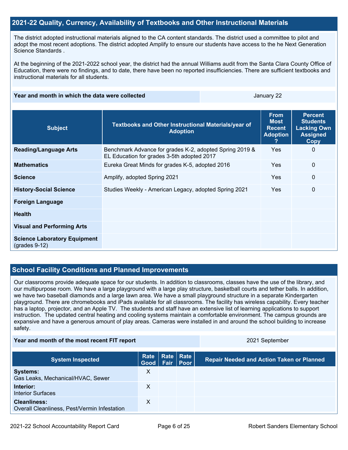### **2021-22 Quality, Currency, Availability of Textbooks and Other Instructional Materials**

The district adopted instructional materials aligned to the CA content standards. The district used a committee to pilot and adopt the most recent adoptions. The district adopted Amplify to ensure our students have access to the he Next Generation Science Standards .

At the beginning of the 2021-2022 school year, the district had the annual Williams audit from the Santa Clara County Office of Education, there were no findings, and to date, there have been no reported insufficiencies. There are sufficient textbooks and instructional materials for all students.

#### **Year and month in which the data were collected Area January 22 and Area January 22**

| <b>Subject</b>                                                        | Textbooks and Other Instructional Materials/year of<br><b>Adoption</b>                                | <b>From</b><br><b>Most</b><br><b>Recent</b><br><b>Adoption</b> | <b>Percent</b><br><b>Students</b><br><b>Lacking Own</b><br><b>Assigned</b><br>Copy |
|-----------------------------------------------------------------------|-------------------------------------------------------------------------------------------------------|----------------------------------------------------------------|------------------------------------------------------------------------------------|
| <b>Reading/Language Arts</b>                                          | Benchmark Advance for grades K-2, adopted Spring 2019 &<br>EL Education for grades 3-5th adopted 2017 | <b>Yes</b>                                                     | $\mathbf 0$                                                                        |
| <b>Mathematics</b>                                                    | Eureka Great Minds for grades K-5, adopted 2016                                                       | <b>Yes</b>                                                     | $\mathbf{0}$                                                                       |
| <b>Science</b>                                                        | Amplify, adopted Spring 2021                                                                          | Yes                                                            | $\mathbf{0}$                                                                       |
| <b>History-Social Science</b>                                         | Studies Weekly - American Legacy, adopted Spring 2021                                                 | Yes                                                            | $\mathbf 0$                                                                        |
| <b>Foreign Language</b>                                               |                                                                                                       |                                                                |                                                                                    |
| <b>Health</b>                                                         |                                                                                                       |                                                                |                                                                                    |
| <b>Visual and Performing Arts</b>                                     |                                                                                                       |                                                                |                                                                                    |
| <b>Science Laboratory Equipment</b><br>$\left($ grades 9-12 $\right)$ |                                                                                                       |                                                                |                                                                                    |

### **School Facility Conditions and Planned Improvements**

Our classrooms provide adequate space for our students. In addition to classrooms, classes have the use of the library, and our multipurpose room. We have a large playground with a large play structure, basketball courts and tether balls. In addition, we have two baseball diamonds and a large lawn area. We have a small playground structure in a separate Kindergarten playground. There are chromebooks and iPads available for all classrooms. The facility has wireless capability. Every teacher has a laptop, projector, and an Apple TV. The students and staff have an extensive list of learning applications to support instruction. The updated central heating and cooling systems maintain a comfortable environment. The campus grounds are expansive and have a generous amount of play areas. Cameras were installed in and around the school building to increase safety.

#### **Year and month of the most recent FIT report** 2021 September

| <b>System Inspected</b>                                             | Rate<br>Good   Fair   Poor | Rate   Rate | <b>Repair Needed and Action Taken or Planned</b> |
|---------------------------------------------------------------------|----------------------------|-------------|--------------------------------------------------|
| <b>Systems:</b><br>Gas Leaks, Mechanical/HVAC, Sewer                | х                          |             |                                                  |
| Interior:<br><b>Interior Surfaces</b>                               | х                          |             |                                                  |
| <b>Cleanliness:</b><br>Overall Cleanliness, Pest/Vermin Infestation | х                          |             |                                                  |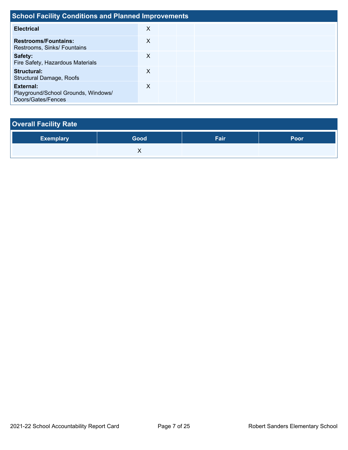| <b>School Facility Conditions and Planned Improvements</b>             |   |  |  |  |  |  |  |
|------------------------------------------------------------------------|---|--|--|--|--|--|--|
| <b>Electrical</b>                                                      | X |  |  |  |  |  |  |
| <b>Restrooms/Fountains:</b><br>Restrooms, Sinks/ Fountains             | X |  |  |  |  |  |  |
| Safety:<br>Fire Safety, Hazardous Materials                            | X |  |  |  |  |  |  |
| Structural:<br><b>Structural Damage, Roofs</b>                         | X |  |  |  |  |  |  |
| External:<br>Playground/School Grounds, Windows/<br>Doors/Gates/Fences | X |  |  |  |  |  |  |

| <b>Overall Facility Rate</b> |      |      |      |
|------------------------------|------|------|------|
| <b>Exemplary</b>             | Good | Fair | Poor |
|                              |      |      |      |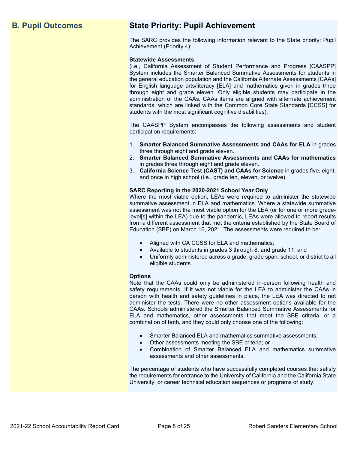## **B. Pupil Outcomes State Priority: Pupil Achievement**

The SARC provides the following information relevant to the State priority: Pupil Achievement (Priority 4):

#### **Statewide Assessments**

(i.e., California Assessment of Student Performance and Progress [CAASPP] System includes the Smarter Balanced Summative Assessments for students in the general education population and the California Alternate Assessments [CAAs] for English language arts/literacy [ELA] and mathematics given in grades three through eight and grade eleven. Only eligible students may participate in the administration of the CAAs. CAAs items are aligned with alternate achievement standards, which are linked with the Common Core State Standards [CCSS] for students with the most significant cognitive disabilities).

The CAASPP System encompasses the following assessments and student participation requirements:

- 1. **Smarter Balanced Summative Assessments and CAAs for ELA** in grades three through eight and grade eleven.
- 2. **Smarter Balanced Summative Assessments and CAAs for mathematics** in grades three through eight and grade eleven.
- 3. **California Science Test (CAST) and CAAs for Science** in grades five, eight, and once in high school (i.e., grade ten, eleven, or twelve).

#### **SARC Reporting in the 2020-2021 School Year Only**

Where the most viable option, LEAs were required to administer the statewide summative assessment in ELA and mathematics. Where a statewide summative assessment was not the most viable option for the LEA (or for one or more gradelevel[s] within the LEA) due to the pandemic, LEAs were allowed to report results from a different assessment that met the criteria established by the State Board of Education (SBE) on March 16, 2021. The assessments were required to be:

- Aligned with CA CCSS for ELA and mathematics;
- Available to students in grades 3 through 8, and grade 11; and
- Uniformly administered across a grade, grade span, school, or district to all eligible students.

#### **Options**

Note that the CAAs could only be administered in-person following health and safety requirements. If it was not viable for the LEA to administer the CAAs in person with health and safety guidelines in place, the LEA was directed to not administer the tests. There were no other assessment options available for the CAAs. Schools administered the Smarter Balanced Summative Assessments for ELA and mathematics, other assessments that meet the SBE criteria, or a combination of both, and they could only choose one of the following:

- Smarter Balanced ELA and mathematics summative assessments;
- Other assessments meeting the SBE criteria; or
- Combination of Smarter Balanced ELA and mathematics summative assessments and other assessments.

The percentage of students who have successfully completed courses that satisfy the requirements for entrance to the University of California and the California State University, or career technical education sequences or programs of study.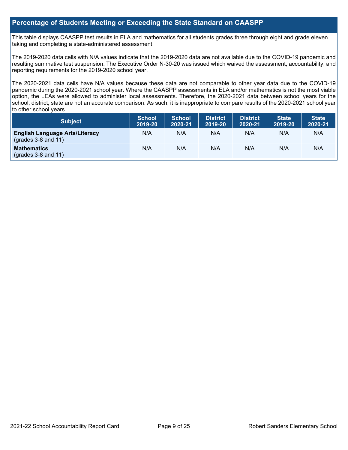## **Percentage of Students Meeting or Exceeding the State Standard on CAASPP**

This table displays CAASPP test results in ELA and mathematics for all students grades three through eight and grade eleven taking and completing a state-administered assessment.

The 2019-2020 data cells with N/A values indicate that the 2019-2020 data are not available due to the COVID-19 pandemic and resulting summative test suspension. The Executive Order N-30-20 was issued which waived the assessment, accountability, and reporting requirements for the 2019-2020 school year.

The 2020-2021 data cells have N/A values because these data are not comparable to other year data due to the COVID-19 pandemic during the 2020-2021 school year. Where the CAASPP assessments in ELA and/or mathematics is not the most viable option, the LEAs were allowed to administer local assessments. Therefore, the 2020-2021 data between school years for the school, district, state are not an accurate comparison. As such, it is inappropriate to compare results of the 2020-2021 school year to other school years.

| <b>Subject</b>                                                       | <b>School</b><br>2019-20 | <b>School</b><br>2020-21 | <b>District</b><br>2019-20 | <b>District</b><br>2020-21 | <b>State</b><br>2019-20 | <b>State</b><br>2020-21 |
|----------------------------------------------------------------------|--------------------------|--------------------------|----------------------------|----------------------------|-------------------------|-------------------------|
| <b>English Language Arts/Literacy</b><br>$\left($ grades 3-8 and 11) | N/A                      | N/A                      | N/A                        | N/A                        | N/A                     | N/A                     |
| <b>Mathematics</b><br>$($ grades 3-8 and 11 $)$                      | N/A                      | N/A                      | N/A                        | N/A                        | N/A                     | N/A                     |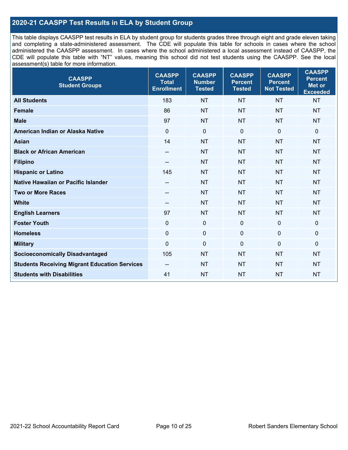## **2020-21 CAASPP Test Results in ELA by Student Group**

This table displays CAASPP test results in ELA by student group for students grades three through eight and grade eleven taking and completing a state-administered assessment. The CDE will populate this table for schools in cases where the school administered the CAASPP assessment. In cases where the school administered a local assessment instead of CAASPP, the CDE will populate this table with "NT" values, meaning this school did not test students using the CAASPP. See the local assessment(s) table for more information.

| <b>CAASPP</b><br><b>Student Groups</b>               | <b>CAASPP</b><br><b>Total</b><br><b>Enrollment</b> | <b>CAASPP</b><br><b>Number</b><br><b>Tested</b> | <b>CAASPP</b><br><b>Percent</b><br><b>Tested</b> | <b>CAASPP</b><br><b>Percent</b><br><b>Not Tested</b> | <b>CAASPP</b><br><b>Percent</b><br>Met or<br><b>Exceeded</b> |
|------------------------------------------------------|----------------------------------------------------|-------------------------------------------------|--------------------------------------------------|------------------------------------------------------|--------------------------------------------------------------|
| <b>All Students</b>                                  | 183                                                | <b>NT</b>                                       | <b>NT</b>                                        | <b>NT</b>                                            | <b>NT</b>                                                    |
| <b>Female</b>                                        | 86                                                 | <b>NT</b>                                       | <b>NT</b>                                        | <b>NT</b>                                            | <b>NT</b>                                                    |
| <b>Male</b>                                          | 97                                                 | <b>NT</b>                                       | <b>NT</b>                                        | <b>NT</b>                                            | <b>NT</b>                                                    |
| American Indian or Alaska Native                     | $\mathbf 0$                                        | $\mathbf 0$                                     | $\mathbf 0$                                      | $\mathbf 0$                                          | 0                                                            |
| <b>Asian</b>                                         | 14                                                 | <b>NT</b>                                       | <b>NT</b>                                        | <b>NT</b>                                            | <b>NT</b>                                                    |
| <b>Black or African American</b>                     | $\overline{\phantom{a}}$                           | <b>NT</b>                                       | <b>NT</b>                                        | <b>NT</b>                                            | <b>NT</b>                                                    |
| <b>Filipino</b>                                      |                                                    | <b>NT</b>                                       | <b>NT</b>                                        | <b>NT</b>                                            | <b>NT</b>                                                    |
| <b>Hispanic or Latino</b>                            | 145                                                | <b>NT</b>                                       | <b>NT</b>                                        | <b>NT</b>                                            | <b>NT</b>                                                    |
| <b>Native Hawaiian or Pacific Islander</b>           | $-\!$                                              | <b>NT</b>                                       | <b>NT</b>                                        | <b>NT</b>                                            | <b>NT</b>                                                    |
| <b>Two or More Races</b>                             | $- -$                                              | <b>NT</b>                                       | <b>NT</b>                                        | <b>NT</b>                                            | <b>NT</b>                                                    |
| <b>White</b>                                         | $\overline{\phantom{a}}$                           | <b>NT</b>                                       | <b>NT</b>                                        | <b>NT</b>                                            | <b>NT</b>                                                    |
| <b>English Learners</b>                              | 97                                                 | <b>NT</b>                                       | <b>NT</b>                                        | <b>NT</b>                                            | <b>NT</b>                                                    |
| <b>Foster Youth</b>                                  | $\mathbf 0$                                        | $\mathbf 0$                                     | $\mathbf 0$                                      | $\mathbf 0$                                          | 0                                                            |
| <b>Homeless</b>                                      | $\mathbf 0$                                        | $\pmb{0}$                                       | $\mathbf 0$                                      | $\mathbf 0$                                          | 0                                                            |
| <b>Military</b>                                      | $\mathbf 0$                                        | $\mathbf 0$                                     | $\mathbf 0$                                      | $\mathbf 0$                                          | $\mathbf 0$                                                  |
| <b>Socioeconomically Disadvantaged</b>               | 105                                                | <b>NT</b>                                       | <b>NT</b>                                        | <b>NT</b>                                            | <b>NT</b>                                                    |
| <b>Students Receiving Migrant Education Services</b> | $\overline{\phantom{a}}$                           | <b>NT</b>                                       | <b>NT</b>                                        | <b>NT</b>                                            | <b>NT</b>                                                    |
| <b>Students with Disabilities</b>                    | 41                                                 | <b>NT</b>                                       | <b>NT</b>                                        | <b>NT</b>                                            | <b>NT</b>                                                    |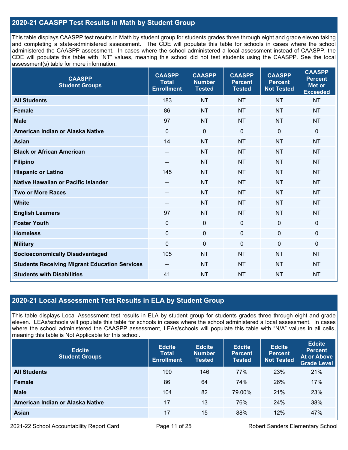## **2020-21 CAASPP Test Results in Math by Student Group**

This table displays CAASPP test results in Math by student group for students grades three through eight and grade eleven taking and completing a state-administered assessment. The CDE will populate this table for schools in cases where the school administered the CAASPP assessment. In cases where the school administered a local assessment instead of CAASPP, the CDE will populate this table with "NT" values, meaning this school did not test students using the CAASPP. See the local assessment(s) table for more information.

| <b>CAASPP</b><br><b>Student Groups</b>               | <b>CAASPP</b><br><b>Total</b><br><b>Enrollment</b> | <b>CAASPP</b><br><b>Number</b><br><b>Tested</b> | <b>CAASPP</b><br><b>Percent</b><br><b>Tested</b> | <b>CAASPP</b><br><b>Percent</b><br><b>Not Tested</b> | <b>CAASPP</b><br><b>Percent</b><br><b>Met or</b><br><b>Exceeded</b> |
|------------------------------------------------------|----------------------------------------------------|-------------------------------------------------|--------------------------------------------------|------------------------------------------------------|---------------------------------------------------------------------|
| <b>All Students</b>                                  | 183                                                | <b>NT</b>                                       | <b>NT</b>                                        | <b>NT</b>                                            | <b>NT</b>                                                           |
| <b>Female</b>                                        | 86                                                 | <b>NT</b>                                       | <b>NT</b>                                        | <b>NT</b>                                            | <b>NT</b>                                                           |
| <b>Male</b>                                          | 97                                                 | <b>NT</b>                                       | <b>NT</b>                                        | <b>NT</b>                                            | <b>NT</b>                                                           |
| American Indian or Alaska Native                     | $\mathbf 0$                                        | $\pmb{0}$                                       | $\mathbf 0$                                      | $\overline{0}$                                       | $\pmb{0}$                                                           |
| <b>Asian</b>                                         | 14                                                 | <b>NT</b>                                       | <b>NT</b>                                        | <b>NT</b>                                            | <b>NT</b>                                                           |
| <b>Black or African American</b>                     | $\overline{\phantom{m}}$                           | <b>NT</b>                                       | <b>NT</b>                                        | <b>NT</b>                                            | <b>NT</b>                                                           |
| <b>Filipino</b>                                      | --                                                 | <b>NT</b>                                       | <b>NT</b>                                        | <b>NT</b>                                            | <b>NT</b>                                                           |
| <b>Hispanic or Latino</b>                            | 145                                                | <b>NT</b>                                       | <b>NT</b>                                        | <b>NT</b>                                            | <b>NT</b>                                                           |
| <b>Native Hawaiian or Pacific Islander</b>           | $\hspace{0.05cm}$ – $\hspace{0.05cm}$              | <b>NT</b>                                       | <b>NT</b>                                        | <b>NT</b>                                            | <b>NT</b>                                                           |
| <b>Two or More Races</b>                             | --                                                 | <b>NT</b>                                       | <b>NT</b>                                        | <b>NT</b>                                            | <b>NT</b>                                                           |
| <b>White</b>                                         | $\qquad \qquad -$                                  | <b>NT</b>                                       | <b>NT</b>                                        | <b>NT</b>                                            | <b>NT</b>                                                           |
| <b>English Learners</b>                              | 97                                                 | <b>NT</b>                                       | <b>NT</b>                                        | <b>NT</b>                                            | <b>NT</b>                                                           |
| <b>Foster Youth</b>                                  | $\mathbf{0}$                                       | $\mathbf 0$                                     | $\mathbf 0$                                      | 0                                                    | $\mathbf 0$                                                         |
| <b>Homeless</b>                                      | $\mathbf 0$                                        | $\mathbf 0$                                     | $\mathbf 0$                                      | $\mathbf 0$                                          | $\mathbf 0$                                                         |
| <b>Military</b>                                      | $\mathbf 0$                                        | $\pmb{0}$                                       | $\mathbf 0$                                      | 0                                                    | $\mathbf 0$                                                         |
| <b>Socioeconomically Disadvantaged</b>               | 105                                                | <b>NT</b>                                       | <b>NT</b>                                        | <b>NT</b>                                            | <b>NT</b>                                                           |
| <b>Students Receiving Migrant Education Services</b> | $- -$                                              | <b>NT</b>                                       | <b>NT</b>                                        | <b>NT</b>                                            | <b>NT</b>                                                           |
| <b>Students with Disabilities</b>                    | 41                                                 | <b>NT</b>                                       | <b>NT</b>                                        | <b>NT</b>                                            | <b>NT</b>                                                           |

## **2020-21 Local Assessment Test Results in ELA by Student Group**

This table displays Local Assessment test results in ELA by student group for students grades three through eight and grade eleven. LEAs/schools will populate this table for schools in cases where the school administered a local assessment. In cases where the school administered the CAASPP assessment, LEAs/schools will populate this table with "N/A" values in all cells, meaning this table is Not Applicable for this school.

| <b>Edcite</b><br><b>Student Groups</b> | <b>Edcite</b><br><b>Total</b><br><b>Enrollment</b> | <b>Edcite</b><br><b>Number</b><br><b>Tested</b> | <b>Edcite</b><br><b>Percent</b><br>Tested | <b>Edcite</b><br><b>Percent</b><br><b>Not Tested</b> | <b>Edcite</b><br><b>Percent</b><br><b>At or Above</b><br><b>Grade Level</b> |
|----------------------------------------|----------------------------------------------------|-------------------------------------------------|-------------------------------------------|------------------------------------------------------|-----------------------------------------------------------------------------|
| <b>All Students</b>                    | 190                                                | 146                                             | 77%                                       | 23%                                                  | 21%                                                                         |
| <b>Female</b>                          | 86                                                 | 64                                              | 74%                                       | 26%                                                  | 17%                                                                         |
| <b>Male</b>                            | 104                                                | 82                                              | 79.00%                                    | 21%                                                  | 23%                                                                         |
| American Indian or Alaska Native       | 17                                                 | 13                                              | 76%                                       | 24%                                                  | 38%                                                                         |
| Asian                                  | 17                                                 | 15                                              | 88%                                       | 12%                                                  | 47%                                                                         |

2021-22 School Accountability Report Card Page 11 of 25 Robert Sanders Elementary School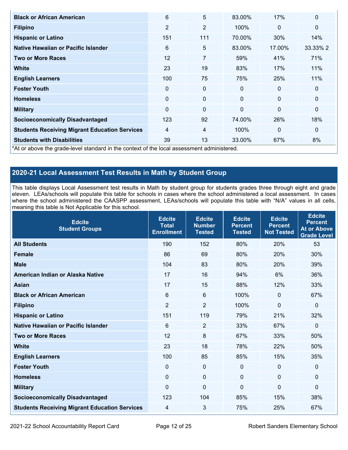| <b>Black or African American</b>                                                           | 6              | 5              | 83.00%       | 17%          | $\mathbf 0$  |
|--------------------------------------------------------------------------------------------|----------------|----------------|--------------|--------------|--------------|
| <b>Filipino</b>                                                                            | 2              | $\overline{2}$ | 100%         | $\mathbf{0}$ | $\mathbf{0}$ |
| <b>Hispanic or Latino</b>                                                                  | 151            | 111            | 70.00%       | 30%          | 14%          |
| Native Hawaiian or Pacific Islander                                                        | 6              | 5              | 83.00%       | 17.00%       | 33.33% 2     |
| <b>Two or More Races</b>                                                                   | 12             | $\overline{7}$ | 59%          | 41%          | 71%          |
| <b>White</b>                                                                               | 23             | 19             | 83%          | 17%          | 11%          |
| <b>English Learners</b>                                                                    | 100            | 75             | 75%          | 25%          | 11%          |
| <b>Foster Youth</b>                                                                        | $\Omega$       | $\mathbf 0$    | $\mathbf{0}$ | $\mathbf{0}$ | $\mathbf 0$  |
| <b>Homeless</b>                                                                            | $\Omega$       | $\mathbf 0$    | $\Omega$     | $\mathbf{0}$ | $\mathbf{0}$ |
| <b>Military</b>                                                                            | $\Omega$       | $\mathbf 0$    | $\Omega$     | $\Omega$     | $\mathbf 0$  |
| <b>Socioeconomically Disadvantaged</b>                                                     | 123            | 92             | 74.00%       | 26%          | 18%          |
| <b>Students Receiving Migrant Education Services</b>                                       | $\overline{4}$ | 4              | 100%         | $\mathbf{0}$ | $\mathbf 0$  |
| <b>Students with Disabilities</b>                                                          | 39             | 13             | 33.00%       | 67%          | 8%           |
| *At or above the grade-level standard in the context of the local assessment administered. |                |                |              |              |              |

## **2020-21 Local Assessment Test Results in Math by Student Group**

This table displays Local Assessment test results in Math by student group for students grades three through eight and grade eleven. LEAs/schools will populate this table for schools in cases where the school administered a local assessment. In cases where the school administered the CAASPP assessment, LEAs/schools will populate this table with "N/A" values in all cells, meaning this table is Not Applicable for this school.

| <b>Edcite</b><br><b>Student Groups</b>               | <b>Edcite</b><br><b>Total</b><br><b>Enrollment</b> | <b>Edcite</b><br><b>Number</b><br><b>Tested</b> | <b>Edcite</b><br><b>Percent</b><br><b>Tested</b> | <b>Edcite</b><br><b>Percent</b><br><b>Not Tested</b> | <b>Edcite</b><br><b>Percent</b><br><b>At or Above</b><br><b>Grade Level</b> |
|------------------------------------------------------|----------------------------------------------------|-------------------------------------------------|--------------------------------------------------|------------------------------------------------------|-----------------------------------------------------------------------------|
| <b>All Students</b>                                  | 190                                                | 152                                             | 80%                                              | 20%                                                  | 53                                                                          |
| <b>Female</b>                                        | 86                                                 | 69                                              | 80%                                              | 20%                                                  | 30%                                                                         |
| <b>Male</b>                                          | 104                                                | 83                                              | 80%                                              | 20%                                                  | 39%                                                                         |
| American Indian or Alaska Native                     | 17                                                 | 16                                              | 94%                                              | 6%                                                   | 36%                                                                         |
| <b>Asian</b>                                         | 17                                                 | 15                                              | 88%                                              | 12%                                                  | 33%                                                                         |
| <b>Black or African American</b>                     | 6                                                  | $6\phantom{1}$                                  | 100%                                             | 0                                                    | 67%                                                                         |
| <b>Filipino</b>                                      | $\overline{2}$                                     | $\overline{2}$                                  | 100%                                             | 0                                                    | 0                                                                           |
| <b>Hispanic or Latino</b>                            | 151                                                | 119                                             | 79%                                              | 21%                                                  | 32%                                                                         |
| <b>Native Hawaiian or Pacific Islander</b>           | $6\phantom{1}$                                     | $\overline{2}$                                  | 33%                                              | 67%                                                  | 0                                                                           |
| <b>Two or More Races</b>                             | 12                                                 | 8                                               | 67%                                              | 33%                                                  | 50%                                                                         |
| <b>White</b>                                         | 23                                                 | 18                                              | 78%                                              | 22%                                                  | 50%                                                                         |
| <b>English Learners</b>                              | 100                                                | 85                                              | 85%                                              | 15%                                                  | 35%                                                                         |
| <b>Foster Youth</b>                                  | $\mathbf 0$                                        | $\mathbf 0$                                     | $\mathbf{0}$                                     | $\mathbf 0$                                          | 0                                                                           |
| <b>Homeless</b>                                      | 0                                                  | $\mathbf 0$                                     | $\mathbf 0$                                      | $\Omega$                                             | 0                                                                           |
| <b>Military</b>                                      | 0                                                  | $\mathbf 0$                                     | $\Omega$                                         | $\overline{0}$                                       | 0                                                                           |
| <b>Socioeconomically Disadvantaged</b>               | 123                                                | 104                                             | 85%                                              | 15%                                                  | 38%                                                                         |
| <b>Students Receiving Migrant Education Services</b> | 4                                                  | 3                                               | 75%                                              | 25%                                                  | 67%                                                                         |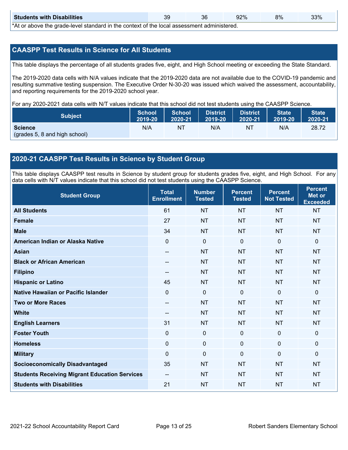| <b>Students with Disabilities</b>                                                                               | 39 | 36 | 92% | 8% | 33% |  |  |
|-----------------------------------------------------------------------------------------------------------------|----|----|-----|----|-----|--|--|
| ♦ A theory before the consider the collection of the theory of the term of the collection of the destructure of |    |    |     |    |     |  |  |

\*At or above the grade-level standard in the context of the local assessment administered.

## **CAASPP Test Results in Science for All Students**

This table displays the percentage of all students grades five, eight, and High School meeting or exceeding the State Standard.

The 2019-2020 data cells with N/A values indicate that the 2019-2020 data are not available due to the COVID-19 pandemic and resulting summative testing suspension. The Executive Order N-30-20 was issued which waived the assessment, accountability, and reporting requirements for the 2019-2020 school year.

For any 2020-2021 data cells with N/T values indicate that this school did not test students using the CAASPP Science.

| Subject                                         | <b>School</b> | <b>School</b> | <b>District</b>   | <b>District</b> | <b>State</b> | State <sup>1</sup> |
|-------------------------------------------------|---------------|---------------|-------------------|-----------------|--------------|--------------------|
|                                                 | 2019-20       | 2020-21       | $ 2019-20\rangle$ | 2020-21         | 2019-20      | 2020-21            |
| <b>Science</b><br>(grades 5, 8 and high school) | N/A           | N1            | N/A               | NT              | N/A          | 28.72              |

## **2020-21 CAASPP Test Results in Science by Student Group**

This table displays CAASPP test results in Science by student group for students grades five, eight, and High School. For any data cells with N/T values indicate that this school did not test students using the CAASPP Science.

| <b>Student Group</b>                                 | <b>Total</b><br><b>Enrollment</b> | <b>Number</b><br><b>Tested</b> | <b>Percent</b><br><b>Tested</b> | <b>Percent</b><br><b>Not Tested</b> | <b>Percent</b><br><b>Met or</b><br><b>Exceeded</b> |
|------------------------------------------------------|-----------------------------------|--------------------------------|---------------------------------|-------------------------------------|----------------------------------------------------|
| <b>All Students</b>                                  | 61                                | <b>NT</b>                      | <b>NT</b>                       | <b>NT</b>                           | <b>NT</b>                                          |
| <b>Female</b>                                        | 27                                | <b>NT</b>                      | <b>NT</b>                       | <b>NT</b>                           | <b>NT</b>                                          |
| <b>Male</b>                                          | 34                                | <b>NT</b>                      | <b>NT</b>                       | <b>NT</b>                           | <b>NT</b>                                          |
| American Indian or Alaska Native                     | 0                                 | $\mathbf 0$                    | $\mathbf 0$                     | $\overline{0}$                      | $\mathbf 0$                                        |
| <b>Asian</b>                                         | $-$                               | <b>NT</b>                      | <b>NT</b>                       | <b>NT</b>                           | <b>NT</b>                                          |
| <b>Black or African American</b>                     |                                   | <b>NT</b>                      | <b>NT</b>                       | <b>NT</b>                           | <b>NT</b>                                          |
| <b>Filipino</b>                                      | --                                | <b>NT</b>                      | <b>NT</b>                       | <b>NT</b>                           | <b>NT</b>                                          |
| <b>Hispanic or Latino</b>                            | 45                                | <b>NT</b>                      | <b>NT</b>                       | <b>NT</b>                           | <b>NT</b>                                          |
| Native Hawaiian or Pacific Islander                  | $\overline{0}$                    | $\mathbf 0$                    | $\mathbf{0}$                    | $\overline{0}$                      | $\mathbf{0}$                                       |
| <b>Two or More Races</b>                             |                                   | <b>NT</b>                      | <b>NT</b>                       | <b>NT</b>                           | <b>NT</b>                                          |
| <b>White</b>                                         | --                                | <b>NT</b>                      | <b>NT</b>                       | <b>NT</b>                           | <b>NT</b>                                          |
| <b>English Learners</b>                              | 31                                | <b>NT</b>                      | <b>NT</b>                       | <b>NT</b>                           | <b>NT</b>                                          |
| <b>Foster Youth</b>                                  | $\mathbf 0$                       | $\mathbf 0$                    | $\mathbf 0$                     | $\mathbf 0$                         | $\mathbf 0$                                        |
| <b>Homeless</b>                                      | 0                                 | $\pmb{0}$                      | $\mathbf 0$                     | $\mathbf 0$                         | $\mathbf 0$                                        |
| <b>Military</b>                                      | 0                                 | 0                              | $\mathbf 0$                     | $\mathbf 0$                         | $\mathbf 0$                                        |
| <b>Socioeconomically Disadvantaged</b>               | 35                                | <b>NT</b>                      | <b>NT</b>                       | <b>NT</b>                           | <b>NT</b>                                          |
| <b>Students Receiving Migrant Education Services</b> | $- -$                             | <b>NT</b>                      | <b>NT</b>                       | <b>NT</b>                           | <b>NT</b>                                          |
| <b>Students with Disabilities</b>                    | 21                                | <b>NT</b>                      | <b>NT</b>                       | <b>NT</b>                           | <b>NT</b>                                          |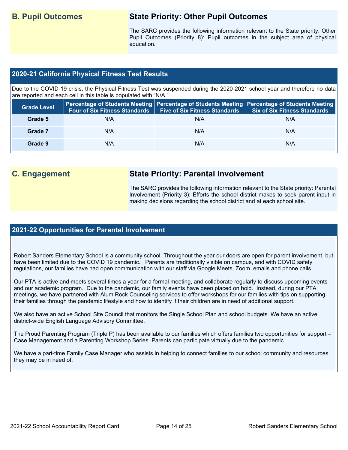## **B. Pupil Outcomes State Priority: Other Pupil Outcomes**

The SARC provides the following information relevant to the State priority: Other Pupil Outcomes (Priority 8): Pupil outcomes in the subject area of physical education.

## **2020-21 California Physical Fitness Test Results**

Due to the COVID-19 crisis, the Physical Fitness Test was suspended during the 2020-2021 school year and therefore no data are reported and each cell in this table is populated with "N/A."

| <b>Grade Level</b> | <b>Four of Six Fitness Standards</b> | <b>Five of Six Fitness Standards</b> | Percentage of Students Meeting   Percentage of Students Meeting   Percentage of Students Meeting<br>Six of Six Fitness Standards |
|--------------------|--------------------------------------|--------------------------------------|----------------------------------------------------------------------------------------------------------------------------------|
| Grade 5            | N/A                                  | N/A                                  | N/A                                                                                                                              |
| Grade 7            | N/A                                  | N/A                                  | N/A                                                                                                                              |
| Grade 9            | N/A                                  | N/A                                  | N/A                                                                                                                              |

## **C. Engagement State Priority: Parental Involvement**

The SARC provides the following information relevant to the State priority: Parental Involvement (Priority 3): Efforts the school district makes to seek parent input in making decisions regarding the school district and at each school site.

## **2021-22 Opportunities for Parental Involvement**

Robert Sanders Elementary School is a community school. Throughout the year our doors are open for parent involvement, but have been limited due to the COVID 19 pandemic. Parents are traditionally visible on campus, and with COVID safety regulations, our families have had open communication with our staff via Google Meets, Zoom, emails and phone calls.

Our PTA is active and meets several times a year for a formal meeting, and collaborate regularly to discuss upcoming events and our academic program. Due to the pandemic, our family events have been placed on hold. Instead, during our PTA meetings, we have partnered with Alum Rock Counseling services to offer workshops for our families with tips on supporting their families through the pandemic lifestyle and how to identify if their children are in need of additional support.

We also have an active School Site Council that monitors the Single School Plan and school budgets. We have an active district-wide English Language Advisory Committee.

The Proud Parenting Program (Triple P) has been available to our families which offers families two opportunities for support – Case Management and a Parenting Workshop Series. Parents can participate virtually due to the pandemic.

We have a part-time Family Case Manager who assists in helping to connect families to our school community and resources they may be in need of.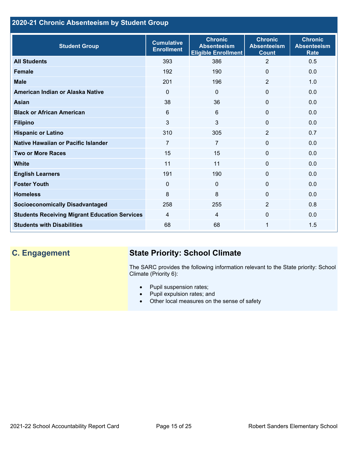## **2020-21 Chronic Absenteeism by Student Group**

| <b>Student Group</b>                                 | <b>Cumulative</b><br><b>Enrollment</b> | <b>Chronic</b><br><b>Absenteeism</b><br><b>Eligible Enrollment</b> | <b>Chronic</b><br><b>Absenteeism</b><br><b>Count</b> | <b>Chronic</b><br><b>Absenteeism</b><br><b>Rate</b> |
|------------------------------------------------------|----------------------------------------|--------------------------------------------------------------------|------------------------------------------------------|-----------------------------------------------------|
| <b>All Students</b>                                  | 393                                    | 386                                                                | $\overline{2}$                                       | 0.5                                                 |
| <b>Female</b>                                        | 192                                    | 190                                                                | 0                                                    | 0.0                                                 |
| <b>Male</b>                                          | 201                                    | 196                                                                | $\overline{2}$                                       | 1.0                                                 |
| American Indian or Alaska Native                     | $\Omega$                               | $\mathbf{0}$                                                       | 0                                                    | 0.0                                                 |
| <b>Asian</b>                                         | 38                                     | 36                                                                 | $\mathbf 0$                                          | 0.0                                                 |
| <b>Black or African American</b>                     | 6                                      | 6                                                                  | 0                                                    | 0.0                                                 |
| <b>Filipino</b>                                      | 3                                      | $\mathfrak{S}$                                                     | $\mathbf{0}$                                         | 0.0                                                 |
| <b>Hispanic or Latino</b>                            | 310                                    | 305                                                                | $\overline{2}$                                       | 0.7                                                 |
| Native Hawaiian or Pacific Islander                  | 7                                      | $\overline{7}$                                                     | 0                                                    | 0.0                                                 |
| <b>Two or More Races</b>                             | 15                                     | 15                                                                 | 0                                                    | 0.0                                                 |
| White                                                | 11                                     | 11                                                                 | 0                                                    | 0.0                                                 |
| <b>English Learners</b>                              | 191                                    | 190                                                                | 0                                                    | 0.0                                                 |
| <b>Foster Youth</b>                                  | $\Omega$                               | $\mathbf{0}$                                                       | $\Omega$                                             | 0.0                                                 |
| <b>Homeless</b>                                      | 8                                      | 8                                                                  | 0                                                    | 0.0                                                 |
| <b>Socioeconomically Disadvantaged</b>               | 258                                    | 255                                                                | $\overline{2}$                                       | 0.8                                                 |
| <b>Students Receiving Migrant Education Services</b> | 4                                      | 4                                                                  | 0                                                    | 0.0                                                 |
| <b>Students with Disabilities</b>                    | 68                                     | 68                                                                 | 1                                                    | 1.5                                                 |

## **C. Engagement State Priority: School Climate**

The SARC provides the following information relevant to the State priority: School Climate (Priority 6):

- Pupil suspension rates;
- Pupil expulsion rates; and
- Other local measures on the sense of safety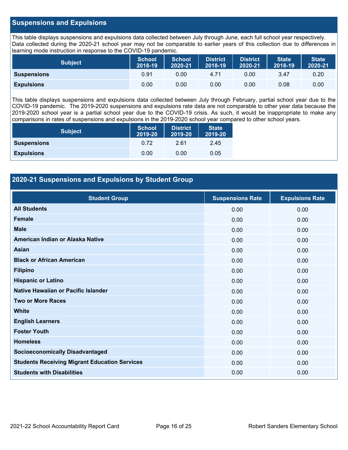## **Suspensions and Expulsions**

This table displays suspensions and expulsions data collected between July through June, each full school year respectively. Data collected during the 2020-21 school year may not be comparable to earlier years of this collection due to differences in learning mode instruction in response to the COVID-19 pandemic.

| <b>Subject</b>     | <b>School</b><br>2018-19 | <b>School</b><br>2020-21 | <b>District</b><br>2018-19 | <b>District</b><br>2020-21 | <b>State</b><br>2018-19 | <b>State</b><br>2020-21 |
|--------------------|--------------------------|--------------------------|----------------------------|----------------------------|-------------------------|-------------------------|
| <b>Suspensions</b> | 0.91                     | 0.00                     | 4.71                       | 0.00                       | 3.47                    | 0.20                    |
| <b>Expulsions</b>  | 0.00                     | 0.00                     | 0.00                       | 0.00                       | 0.08                    | 0.00                    |

This table displays suspensions and expulsions data collected between July through February, partial school year due to the COVID-19 pandemic. The 2019-2020 suspensions and expulsions rate data are not comparable to other year data because the 2019-2020 school year is a partial school year due to the COVID-19 crisis. As such, it would be inappropriate to make any comparisons in rates of suspensions and expulsions in the 2019-2020 school year compared to other school years.

| <b>Subject</b>     | <b>School</b><br>2019-20 | <b>District</b><br>2019-20 | <b>State</b><br>2019-20 |
|--------------------|--------------------------|----------------------------|-------------------------|
| <b>Suspensions</b> | 0.72                     | 2.61                       | 2.45                    |
| <b>Expulsions</b>  | 0.00                     | 0.00                       | 0.05                    |

## **2020-21 Suspensions and Expulsions by Student Group**

| <b>Student Group</b>                                 | <b>Suspensions Rate</b> | <b>Expulsions Rate</b> |
|------------------------------------------------------|-------------------------|------------------------|
| <b>All Students</b>                                  | 0.00                    | 0.00                   |
| <b>Female</b>                                        | 0.00                    | 0.00                   |
| <b>Male</b>                                          | 0.00                    | 0.00                   |
| American Indian or Alaska Native                     | 0.00                    | 0.00                   |
| Asian                                                | 0.00                    | 0.00                   |
| <b>Black or African American</b>                     | 0.00                    | 0.00                   |
| <b>Filipino</b>                                      | 0.00                    | 0.00                   |
| <b>Hispanic or Latino</b>                            | 0.00                    | 0.00                   |
| Native Hawaiian or Pacific Islander                  | 0.00                    | 0.00                   |
| <b>Two or More Races</b>                             | 0.00                    | 0.00                   |
| <b>White</b>                                         | 0.00                    | 0.00                   |
| <b>English Learners</b>                              | 0.00                    | 0.00                   |
| <b>Foster Youth</b>                                  | 0.00                    | 0.00                   |
| <b>Homeless</b>                                      | 0.00                    | 0.00                   |
| <b>Socioeconomically Disadvantaged</b>               | 0.00                    | 0.00                   |
| <b>Students Receiving Migrant Education Services</b> | 0.00                    | 0.00                   |
| <b>Students with Disabilities</b>                    | 0.00                    | 0.00                   |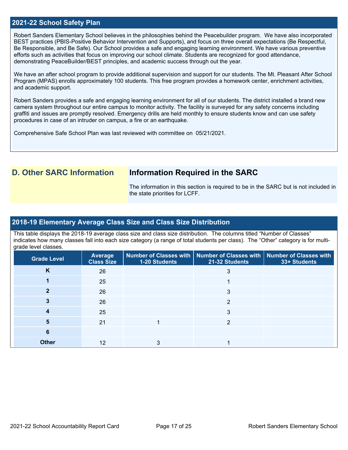### **2021-22 School Safety Plan**

Robert Sanders Elementary School believes in the philosophies behind the Peacebuilder program. We have also incorporated BEST practices (PBIS-Positive Behavior Intervention and Supports), and focus on three overall expectations (Be Respectful, Be Responsible, and Be Safe). Our School provides a safe and engaging learning environment. We have various preventive efforts such as activities that focus on improving our school climate. Students are recognized for good attendance, demonstrating PeaceBuilder/BEST principles, and academic success through out the year.

We have an after school program to provide additional supervision and support for our students. The Mt. Pleasant After School Program (MPAS) enrolls approximately 100 students. This free program provides a homework center, enrichment activities, and academic support.

Robert Sanders provides a safe and engaging learning environment for all of our students. The district installed a brand new camera system throughout our entire campus to monitor activity. The facility is surveyed for any safety concerns including graffiti and issues are promptly resolved. Emergency drills are held monthly to ensure students know and can use safety procedures in case of an intruder on campus, a fire or an earthquake.

Comprehensive Safe School Plan was last reviewed with committee on 05/21/2021.

## **D. Other SARC Information Information Required in the SARC**

The information in this section is required to be in the SARC but is not included in the state priorities for LCFF.

### **2018-19 Elementary Average Class Size and Class Size Distribution**

This table displays the 2018-19 average class size and class size distribution. The columns titled "Number of Classes" indicates how many classes fall into each size category (a range of total students per class). The "Other" category is for multigrade level classes.

| <b>Grade Level</b> | Average<br><b>Class Size</b> | 1-20 Students | Number of Classes with   Number of Classes with   Number of Classes with<br>21-32 Students | 33+ Students |
|--------------------|------------------------------|---------------|--------------------------------------------------------------------------------------------|--------------|
| K                  | 26                           |               | 3                                                                                          |              |
|                    | 25                           |               |                                                                                            |              |
|                    | 26                           |               | 3                                                                                          |              |
|                    | 26                           |               | 2                                                                                          |              |
|                    | 25                           |               | 3                                                                                          |              |
| 5                  | 21                           |               | 2                                                                                          |              |
| 6                  |                              |               |                                                                                            |              |
| <b>Other</b>       | 12                           |               |                                                                                            |              |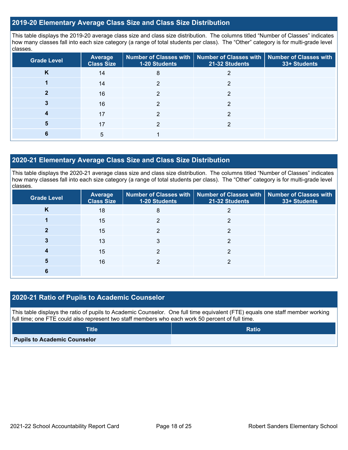## **2019-20 Elementary Average Class Size and Class Size Distribution**

This table displays the 2019-20 average class size and class size distribution. The columns titled "Number of Classes" indicates how many classes fall into each size category (a range of total students per class). The "Other" category is for multi-grade level classes.

| <b>Grade Level</b> | <b>Average</b><br><b>Class Size</b> | 1-20 Students | Number of Classes with   Number of Classes with   Number of Classes with<br>21-32 Students | 33+ Students |
|--------------------|-------------------------------------|---------------|--------------------------------------------------------------------------------------------|--------------|
| <b>N</b>           | 14                                  | 8             |                                                                                            |              |
|                    | 14                                  | ົ             | ◠                                                                                          |              |
|                    | 16                                  |               |                                                                                            |              |
|                    | 16                                  |               | ົ                                                                                          |              |
|                    | 17                                  | ົ             | っ                                                                                          |              |
| 5                  | 17                                  |               |                                                                                            |              |
|                    | 5                                   |               |                                                                                            |              |

## **2020-21 Elementary Average Class Size and Class Size Distribution**

This table displays the 2020-21 average class size and class size distribution. The columns titled "Number of Classes" indicates how many classes fall into each size category (a range of total students per class). The "Other" category is for multi-grade level classes.

| <b>Grade Level</b> | <b>Average</b><br><b>Class Size</b> | <b>1-20 Students</b> | Number of Classes with   Number of Classes with   Number of Classes with<br>21-32 Students | 33+ Students |
|--------------------|-------------------------------------|----------------------|--------------------------------------------------------------------------------------------|--------------|
| K                  | 18                                  | 8                    |                                                                                            |              |
|                    | 15                                  |                      |                                                                                            |              |
|                    | 15                                  |                      | ົ                                                                                          |              |
|                    | 13                                  |                      |                                                                                            |              |
|                    | 15                                  |                      | າ                                                                                          |              |
| 5                  | 16                                  |                      |                                                                                            |              |
|                    |                                     |                      |                                                                                            |              |

## **2020-21 Ratio of Pupils to Academic Counselor**

This table displays the ratio of pupils to Academic Counselor. One full time equivalent (FTE) equals one staff member working full time; one FTE could also represent two staff members who each work 50 percent of full time.

| <b>Title</b>                        | <b>Ratio</b> |
|-------------------------------------|--------------|
| <b>Pupils to Academic Counselor</b> |              |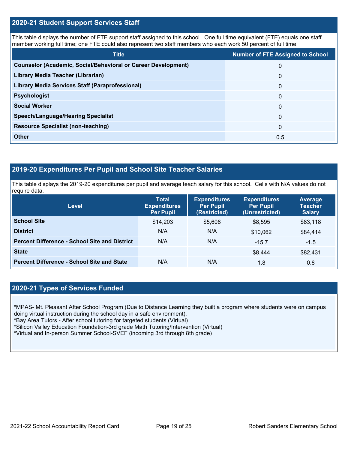## **2020-21 Student Support Services Staff**

This table displays the number of FTE support staff assigned to this school. One full time equivalent (FTE) equals one staff member working full time; one FTE could also represent two staff members who each work 50 percent of full time.

| <b>Title</b>                                                         | <b>Number of FTE Assigned to School</b> |
|----------------------------------------------------------------------|-----------------------------------------|
| <b>Counselor (Academic, Social/Behavioral or Career Development)</b> | $\Omega$                                |
| Library Media Teacher (Librarian)                                    | $\mathbf{0}$                            |
| <b>Library Media Services Staff (Paraprofessional)</b>               | $\mathbf{0}$                            |
| <b>Psychologist</b>                                                  | $\Omega$                                |
| <b>Social Worker</b>                                                 | $\Omega$                                |
| <b>Speech/Language/Hearing Specialist</b>                            | $\Omega$                                |
| <b>Resource Specialist (non-teaching)</b>                            | $\Omega$                                |
| <b>Other</b>                                                         | 0.5                                     |

## **2019-20 Expenditures Per Pupil and School Site Teacher Salaries**

This table displays the 2019-20 expenditures per pupil and average teach salary for this school. Cells with N/A values do not require data.

| <b>Level</b>                                         | <b>Total</b><br><b>Expenditures</b><br><b>Per Pupil</b> | <b>Expenditures</b><br><b>Per Pupil</b><br>(Restricted) | <b>Expenditures</b><br><b>Per Pupil</b><br>(Unrestricted) | <b>Average</b><br><b>Teacher</b><br><b>Salary</b> |
|------------------------------------------------------|---------------------------------------------------------|---------------------------------------------------------|-----------------------------------------------------------|---------------------------------------------------|
| <b>School Site</b>                                   | \$14,203                                                | \$5,608                                                 | \$8,595                                                   | \$83,118                                          |
| <b>District</b>                                      | N/A                                                     | N/A                                                     | \$10,062                                                  | \$84,414                                          |
| <b>Percent Difference - School Site and District</b> | N/A                                                     | N/A                                                     | $-15.7$                                                   | $-1.5$                                            |
| <b>State</b>                                         |                                                         |                                                         | \$8,444                                                   | \$82,431                                          |
| <b>Percent Difference - School Site and State</b>    | N/A                                                     | N/A                                                     | 1.8                                                       | 0.8                                               |

## **2020-21 Types of Services Funded**

\*MPAS- Mt. Pleasant After School Program (Due to Distance Learning they built a program where students were on campus doing virtual instruction during the school day in a safe environment).

\*Bay Area Tutors - After school tutoring for targeted students (Virtual)

\*Silicon Valley Education Foundation-3rd grade Math Tutoring/Intervention (Virtual)

\*Virtual and In-person Summer School-SVEF (incoming 3rd through 8th grade)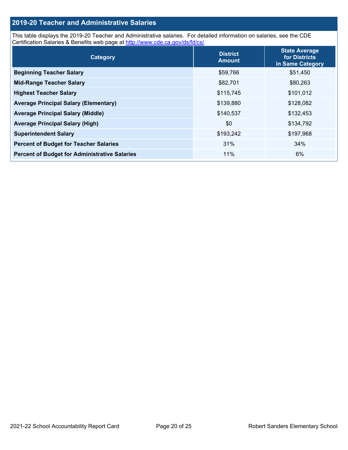## **2019-20 Teacher and Administrative Salaries**

This table displays the 2019-20 Teacher and Administrative salaries. For detailed information on salaries, see the CDE Certification Salaries & Benefits web page at<http://www.cde.ca.gov/ds/fd/cs/>.

| Category                                             | <b>District</b><br><b>Amount</b> | <b>State Average</b><br>for Districts<br>in Same Category |
|------------------------------------------------------|----------------------------------|-----------------------------------------------------------|
| <b>Beginning Teacher Salary</b>                      | \$59,766                         | \$51,450                                                  |
| <b>Mid-Range Teacher Salary</b>                      | \$82,701                         | \$80,263                                                  |
| <b>Highest Teacher Salary</b>                        | \$115,745                        | \$101,012                                                 |
| <b>Average Principal Salary (Elementary)</b>         | \$139,880                        | \$128,082                                                 |
| <b>Average Principal Salary (Middle)</b>             | \$140,537                        | \$132,453                                                 |
| <b>Average Principal Salary (High)</b>               | \$0                              | \$134,792                                                 |
| <b>Superintendent Salary</b>                         | \$193,242                        | \$197,968                                                 |
| <b>Percent of Budget for Teacher Salaries</b>        | 31%                              | 34%                                                       |
| <b>Percent of Budget for Administrative Salaries</b> | 11%                              | 6%                                                        |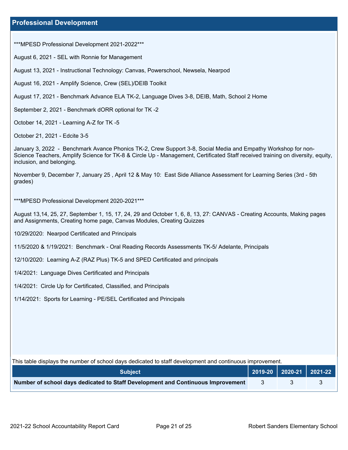\*\*\*MPESD Professional Development 2021-2022\*\*\*

August 6, 2021 - SEL with Ronnie for Management

August 13, 2021 - Instructional Technology: Canvas, Powerschool, Newsela, Nearpod

August 16, 2021 - Amplify Science, Crew (SEL)/DEIB Toolkit

August 17, 2021 - Benchmark Advance ELA TK-2, Language Dives 3-8, DEIB, Math, School 2 Home

September 2, 2021 - Benchmark dORR optional for TK -2

October 14, 2021 - Learning A-Z for TK -5

October 21, 2021 - Edcite 3-5

January 3, 2022 - Benchmark Avance Phonics TK-2, Crew Support 3-8, Social Media and Empathy Workshop for non-Science Teachers, Amplify Science for TK-8 & Circle Up - Management, Certificated Staff received training on diversity, equity, inclusion, and belonging.

November 9, December 7, January 25 , April 12 & May 10: East Side Alliance Assessment for Learning Series (3rd - 5th grades)

\*\*\*MPESD Professional Development 2020-2021\*\*\*

August 13,14, 25, 27, September 1, 15, 17, 24, 29 and October 1, 6, 8, 13, 27: CANVAS - Creating Accounts, Making pages and Assignments, Creating home page, Canvas Modules, Creating Quizzes

10/29/2020: Nearpod Certificated and Principals

11/5/2020 & 1/19/2021: Benchmark - Oral Reading Records Assessments TK-5/ Adelante, Principals

12/10/2020: Learning A-Z (RAZ Plus) TK-5 and SPED Certificated and principals

1/4/2021: Language Dives Certificated and Principals

1/4/2021: Circle Up for Certificated, Classified, and Principals

1/14/2021: Sports for Learning - PE/SEL Certificated and Principals

| This table displays the number of school days dedicated to staff development and continuous improvement. |              |  |                         |
|----------------------------------------------------------------------------------------------------------|--------------|--|-------------------------|
| <b>Subject</b>                                                                                           |              |  | 2019-20 2020-21 2021-22 |
| Number of school days dedicated to Staff Development and Continuous Improvement                          | $\mathbf{3}$ |  |                         |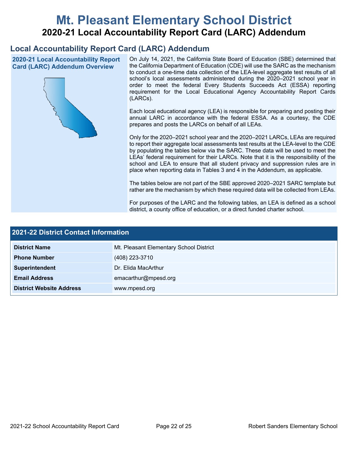# **Mt. Pleasant Elementary School District 2020-21 Local Accountability Report Card (LARC) Addendum**

## **Local Accountability Report Card (LARC) Addendum**

**2020-21 Local Accountability Report Card (LARC) Addendum Overview**



On July 14, 2021, the California State Board of Education (SBE) determined that the California Department of Education (CDE) will use the SARC as the mechanism to conduct a one-time data collection of the LEA-level aggregate test results of all school's local assessments administered during the 2020–2021 school year in order to meet the federal Every Students Succeeds Act (ESSA) reporting requirement for the Local Educational Agency Accountability Report Cards (LARCs).

Each local educational agency (LEA) is responsible for preparing and posting their annual LARC in accordance with the federal ESSA. As a courtesy, the CDE prepares and posts the LARCs on behalf of all LEAs.

Only for the 2020–2021 school year and the 2020–2021 LARCs, LEAs are required to report their aggregate local assessments test results at the LEA-level to the CDE by populating the tables below via the SARC. These data will be used to meet the LEAs' federal requirement for their LARCs. Note that it is the responsibility of the school and LEA to ensure that all student privacy and suppression rules are in place when reporting data in Tables 3 and 4 in the Addendum, as applicable.

The tables below are not part of the SBE approved 2020–2021 SARC template but rather are the mechanism by which these required data will be collected from LEAs.

For purposes of the LARC and the following tables, an LEA is defined as a school district, a county office of education, or a direct funded charter school.

| <b>2021-22 District Contact Information</b> |                                         |  |
|---------------------------------------------|-----------------------------------------|--|
| <b>District Name</b>                        | Mt. Pleasant Elementary School District |  |
| <b>Phone Number</b>                         | (408) 223-3710                          |  |
| Superintendent                              | Dr. Elida MacArthur                     |  |
| <b>Email Address</b>                        | emacarthur@mpesd.org                    |  |
| <b>District Website Address</b>             | www.mpesd.org                           |  |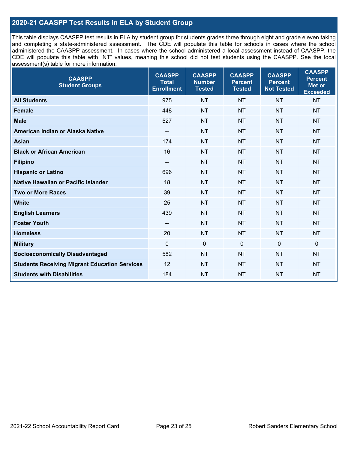## **2020-21 CAASPP Test Results in ELA by Student Group**

This table displays CAASPP test results in ELA by student group for students grades three through eight and grade eleven taking and completing a state-administered assessment. The CDE will populate this table for schools in cases where the school administered the CAASPP assessment. In cases where the school administered a local assessment instead of CAASPP, the CDE will populate this table with "NT" values, meaning this school did not test students using the CAASPP. See the local assessment(s) table for more information.

| <b>CAASPP</b><br><b>Student Groups</b>               | <b>CAASPP</b><br><b>Total</b><br><b>Enrollment</b> | <b>CAASPP</b><br><b>Number</b><br><b>Tested</b> | <b>CAASPP</b><br><b>Percent</b><br><b>Tested</b> | <b>CAASPP</b><br><b>Percent</b><br><b>Not Tested</b> | <b>CAASPP</b><br><b>Percent</b><br>Met or<br><b>Exceeded</b> |
|------------------------------------------------------|----------------------------------------------------|-------------------------------------------------|--------------------------------------------------|------------------------------------------------------|--------------------------------------------------------------|
| <b>All Students</b>                                  | 975                                                | <b>NT</b>                                       | <b>NT</b>                                        | <b>NT</b>                                            | <b>NT</b>                                                    |
| <b>Female</b>                                        | 448                                                | <b>NT</b>                                       | <b>NT</b>                                        | <b>NT</b>                                            | <b>NT</b>                                                    |
| <b>Male</b>                                          | 527                                                | <b>NT</b>                                       | <b>NT</b>                                        | <b>NT</b>                                            | <b>NT</b>                                                    |
| American Indian or Alaska Native                     | $\overline{\phantom{a}}$                           | <b>NT</b>                                       | <b>NT</b>                                        | <b>NT</b>                                            | <b>NT</b>                                                    |
| <b>Asian</b>                                         | 174                                                | <b>NT</b>                                       | <b>NT</b>                                        | <b>NT</b>                                            | <b>NT</b>                                                    |
| <b>Black or African American</b>                     | 16                                                 | <b>NT</b>                                       | <b>NT</b>                                        | <b>NT</b>                                            | <b>NT</b>                                                    |
| <b>Filipino</b>                                      | $\overline{\phantom{a}}$                           | <b>NT</b>                                       | <b>NT</b>                                        | <b>NT</b>                                            | <b>NT</b>                                                    |
| <b>Hispanic or Latino</b>                            | 696                                                | <b>NT</b>                                       | <b>NT</b>                                        | <b>NT</b>                                            | <b>NT</b>                                                    |
| Native Hawaiian or Pacific Islander                  | 18                                                 | <b>NT</b>                                       | <b>NT</b>                                        | <b>NT</b>                                            | <b>NT</b>                                                    |
| <b>Two or More Races</b>                             | 39                                                 | <b>NT</b>                                       | <b>NT</b>                                        | <b>NT</b>                                            | <b>NT</b>                                                    |
| <b>White</b>                                         | 25                                                 | <b>NT</b>                                       | <b>NT</b>                                        | <b>NT</b>                                            | <b>NT</b>                                                    |
| <b>English Learners</b>                              | 439                                                | <b>NT</b>                                       | <b>NT</b>                                        | <b>NT</b>                                            | <b>NT</b>                                                    |
| <b>Foster Youth</b>                                  |                                                    | <b>NT</b>                                       | <b>NT</b>                                        | <b>NT</b>                                            | <b>NT</b>                                                    |
| <b>Homeless</b>                                      | 20                                                 | <b>NT</b>                                       | <b>NT</b>                                        | <b>NT</b>                                            | <b>NT</b>                                                    |
| <b>Military</b>                                      | $\mathbf 0$                                        | $\mathbf 0$                                     | $\mathbf 0$                                      | $\mathbf 0$                                          | 0                                                            |
| <b>Socioeconomically Disadvantaged</b>               | 582                                                | <b>NT</b>                                       | <b>NT</b>                                        | <b>NT</b>                                            | <b>NT</b>                                                    |
| <b>Students Receiving Migrant Education Services</b> | 12                                                 | <b>NT</b>                                       | <b>NT</b>                                        | <b>NT</b>                                            | <b>NT</b>                                                    |
| <b>Students with Disabilities</b>                    | 184                                                | <b>NT</b>                                       | <b>NT</b>                                        | <b>NT</b>                                            | <b>NT</b>                                                    |